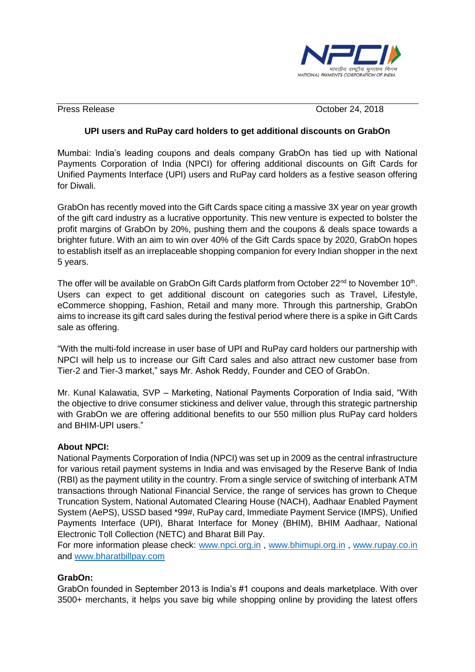

Press Release **October 24, 2018** 

## **UPI users and RuPay card holders to get additional discounts on GrabOn**

Mumbai: India's leading coupons and deals company GrabOn has tied up with National Payments Corporation of India (NPCI) for offering additional discounts on Gift Cards for Unified Payments Interface (UPI) users and RuPay card holders as a festive season offering for Diwali.

GrabOn has recently moved into the Gift Cards space citing a massive 3X year on year growth of the gift card industry as a lucrative opportunity. This new venture is expected to bolster the profit margins of GrabOn by 20%, pushing them and the coupons & deals space towards a brighter future. With an aim to win over 40% of the Gift Cards space by 2020, GrabOn hopes to establish itself as an irreplaceable shopping companion for every Indian shopper in the next 5 years.

The offer will be available on GrabOn Gift Cards platform from October 22<sup>nd</sup> to November 10<sup>th</sup>. Users can expect to get additional discount on categories such as Travel, Lifestyle, eCommerce shopping, Fashion, Retail and many more. Through this partnership, GrabOn aims to increase its gift card sales during the festival period where there is a spike in Gift Cards sale as offering.

"With the multi-fold increase in user base of UPI and RuPay card holders our partnership with NPCI will help us to increase our Gift Card sales and also attract new customer base from Tier-2 and Tier-3 market," says Mr. Ashok Reddy, Founder and CEO of GrabOn.

Mr. Kunal Kalawatia, SVP – Marketing, National Payments Corporation of India said, "With the objective to drive consumer stickiness and deliver value, through this strategic partnership with GrabOn we are offering additional benefits to our 550 million plus RuPay card holders and BHIM-UPI users."

## **About NPCI:**

National Payments Corporation of India (NPCI) was set up in 2009 as the central infrastructure for various retail payment systems in India and was envisaged by the Reserve Bank of India (RBI) as the payment utility in the country. From a single service of switching of interbank ATM transactions through National Financial Service, the range of services has grown to Cheque Truncation System, National Automated Clearing House (NACH), Aadhaar Enabled Payment System (AePS), USSD based \*99#, RuPay card, Immediate Payment Service (IMPS), Unified Payments Interface (UPI), Bharat Interface for Money (BHIM), BHIM Aadhaar, National Electronic Toll Collection (NETC) and Bharat Bill Pay.

For more information please check: [www.npci.org.in](http://www.npci.org.in/) , [www.bhimupi.org.in](http://www.bhimupi.org.in/) , [www.rupay.co.in](http://www.rupay.co.in/)  and [www.bharatbillpay.com](http://www.bharatbillpay.com/) 

## **GrabOn:**

GrabOn founded in September 2013 is India's #1 coupons and deals marketplace. With over 3500+ merchants, it helps you save big while shopping online by providing the latest offers